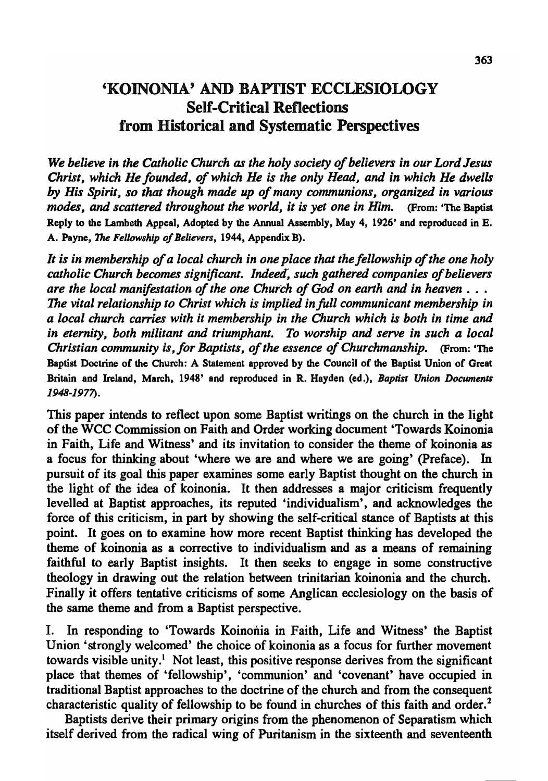## 'KOINONIA' AND BAPTIST ECCLESIOLOGY Self-Critical Reflections from Historical and Systematic Perspectives

*We believe in the Catholic Church as the holy society of believers in our Lord Jesus Christ, which Hefounded, of which He is the only Head, and in which He dwells by His Spirit, so that though made up of many communions, organized in various modes, and scattered throughout the world, it is yet one in Him.* (From: 'The Baptist Reply to the Lambeth Appeal, Adopted by the Annual Assembly, May 4, 1926' and reproduced in E. A. Payne, *the Fellowship of Believers,* 1944, Appendix B).

*It is in membership of a local church in one place that the fellowship of the one holy catholic Church becomes significant. Indeed: such gathered companies of believers are the local manifestation of the one Church of God on earth and in heaven* . . . The *vital relationship to Christ which is implied in full communicant membership in a local church carries with it membership in the Church which is both in time and in eternity, both militant and triumphant. To worship and serve in such a local Christian community is, for Baptists, of the essence of Churchmanship.* (From: 'The Baptist Doctrine of the Church: A Statement approved by the Council of the Baptist Union of Great Britain and Ireland, March, 1948' and reproduced in R. Hayden (ed.), *Baptist Union Documents*  1948-1977).

This paper intends to reflect upon some Baptist writings on the church in the light of the WCC Commission on Faith and Order working document 'Towards Koinonia in Faith, Life and Witness' and its invitation to consider the theme of koinonia as a focus for thinking about 'where we are and where we are going' (Preface). In pursuit of its goal this paper examines some early Baptist thought on the church in the light of the idea of koinonia. It then addresses a major criticism frequently levelled at Baptist approaches, its reputed 'individualism', and acknowledges the force of this criticism, in part by showing the self-critical stance of Baptists at this point. It goes on to examine how more recent Baptist thinking has developed the theme of koinonia as a corrective to individualism and as a means of remaining faithful to early Baptist insights. It then seeks to engage in some constructive theology in drawing out the relation between trinitarian koinonia and the church. Finally it offers tentative criticisms of some Anglican ecclesiology on the basis of the same theme and from a Baptist perspective.

I. In responding to 'Towards Koinonia in Faith, Life and Witness' the Baptist Union 'strongly welcomed' the choice of koinonia as a focus for further movement towards visible unity.<sup>1</sup> Not least, this positive response derives from the significant place that themes of 'fellowship', 'communion' and 'covenant' have occupied in traditional Baptist approaches to the doctrine of the church and from the consequent characteristic quality of fellowship to be found in churches of this faith and order.<sup>2</sup>

Baptists derive their primary origins from the phenomenon of Separatism which itself derived from the radical wing of Puritanism in the sixteenth and seventeenth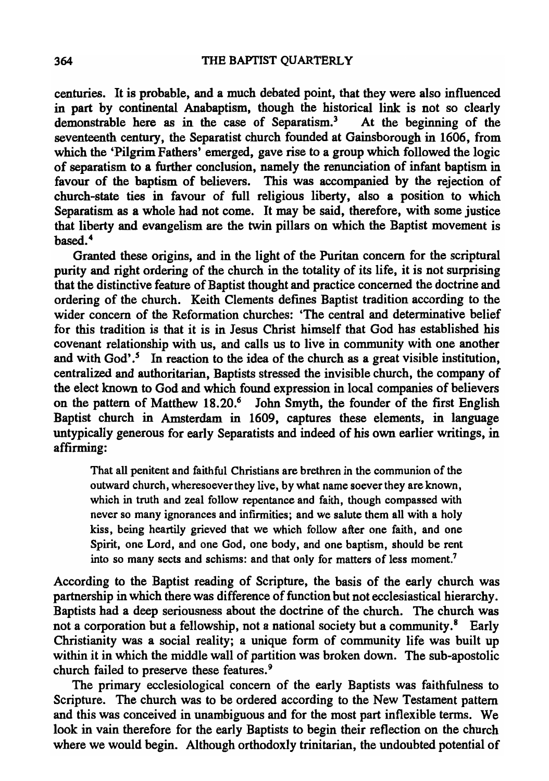centuries. It is probable, and a much debated point, that they were also influenced in part by continental Anabaptism, though the historical link is not so clearly demonstrable here as in the case of Separatism.<sup>3</sup> At the beginning of the demonstrable here as in the case of Separatism.<sup>3</sup> seventeenth century, the Separatist church founded at Gainsborough in 1606, from which the 'Pilgrim Fathers' emerged, gave rise to a group which followed the logic of separatism to a further conclusion, namely the renunciation of infant baptism in favour of the baptism of believers. This was accompanied by the rejection of church-state ties in favour of full religious liberty, also a position to which Separatism as a whole had not come. It may be said, therefore, with some justice that liberty and evangelism are the twin pillars on which the Baptist movement is based. 4

Granted these origins, and in the light of the Puritan concern for the scriptural purity and right ordering of the church in the totality of its life, it is not surprising that the distinctive feature of Baptist thought and practice concerned the doctrine and ordering of the church. Keith Clements defines Baptist tradition according to the wider concern of the Reformation churches: 'The central and determinative belief for this tradition is that it is in Jesus Christ himself that God has established his covenant relationship with us, and calls us to live in community with one another and with God'.<sup>5</sup> In reaction to the idea of the church as a great visible institution, centralized and authoritarian, Baptists stressed the invisible church, the company of the elect known to God and which found expression in local companies of believers on the pattern of Matthew 18.20.<sup>6</sup> John Smyth, the founder of the first English Baptist church in Amsterdam in 1609, captures these elements, in language untypically generous for early Separatists and indeed of his own earlier writings, in affirming:

That all penitent and faithful Christians are brethren in the communion of the outward church, wheresoeverthey live, by what name soeverthey are known, which in truth and zeal follow repentance and faith, though compassed with never so many ignorances and infirmities; and we salute them all with a holy kiss, being heartily grieved that we which follow after one faith, and one Spirit, one Lord, and one God, one body, and one baptism, should be rent into so many sects and schisms: and that only for matters of less moment?

According to the Baptist reading of Scripture, the basis of the early church was partnership in which there was difference of function but not ecclesiastical hierarchy. Baptists had a deep seriousness about the doctrine of the church. The church was not a corporation but a fellowship, not a national society but a community.<sup>8</sup> Early Christianity was a social reality; a unique form of community life was built up within it in which the middle wall of partition was broken down. The sub-apostolic church failed to preserve these features. 9

The primary ecclesiological concern of the early Baptists was faithfulness to Scripture. The church was to be ordered according to the New Testament pattern and this was conceived in unambiguous and for the most part inflexible terms. We look in vain therefore for the early Baptists to begin their reflection on the church where we would begin. Although orthodoxly trinitarian, the undoubted potential of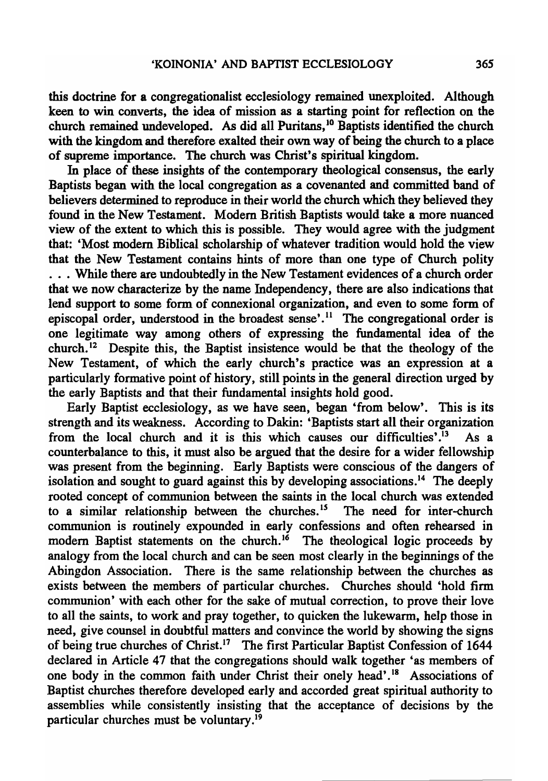this doctrine for a congregationalist ecclesiology remained unexploited. Although keen to win converts, the idea of mission as a starting point for reflection on the church remained undeveloped. As did all Puritans,<sup>10</sup> Baptists identified the church with the kingdom and therefore exalted their own way of being the church to a place of supreme importance. The church was Christ's spiritual kingdom.

In place of these insights of the contemporary theological consensus, the early Baptists began with the local congregation as a covenanted and committed band of believers determined to reproduce in their world the church which they believed they found in the New Testament. Modem British Baptists would take a more nuanced view of the extent to which this is possible. They would agree with the judgment that: 'Most modem Biblical scholarship of whatever tradition would hold the view that the New Testament contains hints of more than one type of Church polity ... While there are undoubtedly in the New Testament evidences of a church order that we now characterize by the name Independency, there are also indications that lend support to some form of connexional organization, and even to some form of episcopal order, understood in the broadest sense'.<sup>11</sup> The congregational order is one legitimate way among others of expressing the fundamental idea of the  $\mu$ church.<sup>12</sup> Despite this, the Baptist insistence would be that the theology of the New Testament, of which the early church's practice was an expression at a particularly formative point of history, still points in the general direction urged by the early Baptists and that their fundamental insights hold good.

Early Baptist ecclesiology, as we have seen, began 'from below'. This is its strength and its weakness. According to Dakin: 'Baptists start all their organization from the local church and it is this which causes our difficulties'.<sup>13</sup> As a counterbalance to this, it must also be argued that the desire for a wider fellowship was present from the beginning. Early Baptists were conscious of the dangers of isolation and sought to guard against this by developing associations.14 The deeply rooted concept of communion between the saints in the local church was extended to a similar relationship between the churches.<sup>15</sup> The need for inter-church communion is routinely expounded in early confessions and often rehearsed in modern Baptist statements on the church.<sup>16</sup> The theological logic proceeds by analogy from the local church and can be seen most clearly in the beginnings of the Abingdon Association. There is the same relationship between the churches as exists between the members of particular churches. Churches should 'hold firm communion' with each other for the sake of mutual correction, to prove their love to all the saints, to work and pray together, to quicken the lukewarm, help those in need, give counsel in doubtful matters and convince the world by showing the signs of being true churches of Christ.17 The first Particular Baptist Confession of 1644 declared in Article 47 that the congregations should walk together 'as members of one body in the common faith under Christ their onely head'.<sup>18</sup> Associations of Baptist churches therefore developed early and accorded great spiritual authority to assemblies while consistently insisting that the acceptance of decisions by the particular churches must be voluntary.19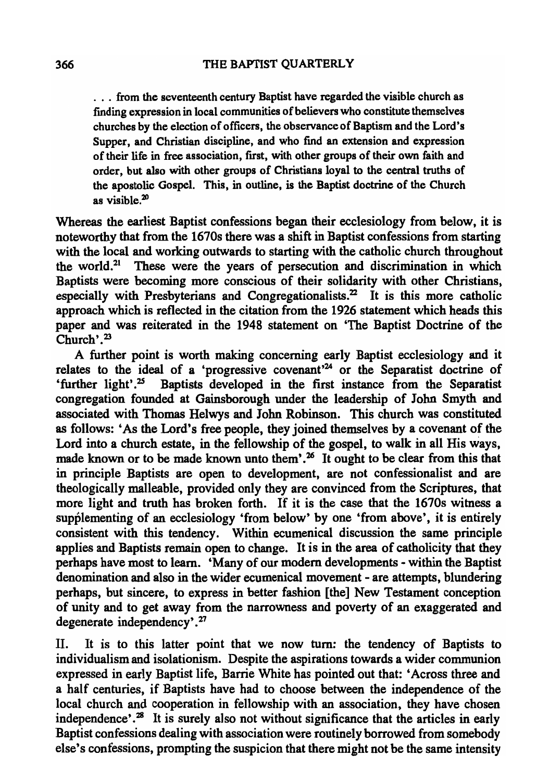. . . from the seventeenth century Baptist have regarded the visible church as fmding expression in local communities of believers who constitute themselves churches by the election of officers, the observance of Baptism and the Lord's Supper, and Christian discipline, and who find an extension and expression of their life in free association, first, with other groups of their own faith and order, but also with other groups of Christians loyal to the central truths of the apostolic Gospel. This, in outline, is the Baptist doctrine of the Church as visible 20

Whereas the earliest Baptist confessions began their ecclesiology from below, it is noteworthy that from the 1670s there was a shift in Baptist confessions from starting with the local and working outwards to starting with the catholic church throughout the world.21 These were the years of persecution and discrimination in which Baptists were becoming more conscious of their solidarity with other Christians, especially with Presbyterians and Congregationalists.<sup>22</sup> It is this more catholic approach which is reflected in the citation from the 1926 statement which heads this paper and was reiterated in the 1948 statement on 'The Baptist Doctrine of the  $Church'$ .<sup>23</sup>

A further point is worth making concerning early Baptist ecclesiology and it relates to the ideal of a 'progressive covenant'<sup>24</sup> or the Separatist doctrine of 'further light'.<sup>25</sup> Baptists developed in the first instance from the Separatist congregation founded at Gainsborough under the leadership of John Smyth and associated with Thomas Helwys and John Robinson. This church was constituted as follows: 'As the Lord's free people, they joined themselves by a covenant of the Lord into a church estate, in the fellowship of the gospel, to walk in all His ways, made known or to be made known unto them'.<sup>26</sup> It ought to be clear from this that in principle Baptists are open to development, are not confessionalist and are theologically malleable, provided only they are convinced from the Scriptures, that more light and truth has broken forth. If it is the case that the 1670s witness a supplementing of an ecclesiology 'from below' by one 'from above', it is entirely consistent with this tendency. Within ecumenical discussion the same principle applies and Baptists remain open to change. It is in the area of catholicity that they perhaps have most to learn. 'Many of our modem developments - within the Baptist denomination and also in the wider ecumenical movement - are attempts, blundering perhaps, but sincere, to express in better fashion [the] New Testament conception of unity and to get away from the narrowness and poverty of an exaggerated and degenerate independency'. <sup>27</sup>

lI. It is to this latter point that we now turn: the tendency of Baptists to individualism and isolationism. Despite the aspirations towards a wider communion expressed in early Baptist life, Barrie White has pointed out that: 'Across three and a half centuries, if Baptists have had to choose between the independence of the local church and cooperation in fellowship with an association, they have chosen independence'.<sup>28</sup> It is surely also not without significance that the articles in early Baptist confessions dealing with association were routinely borrowed from somebody else's confessions, prompting the suspicion that there might not be the same intensity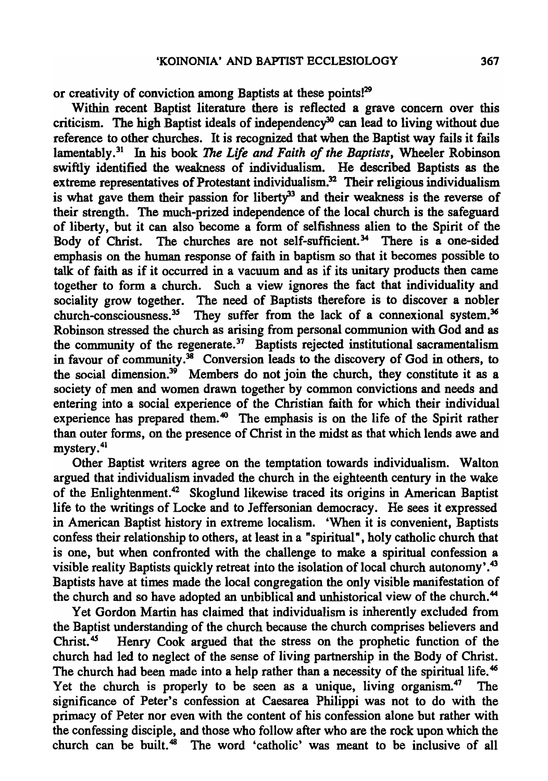or creativity of conviction among Baptists at these points!<sup>29</sup>

Within recent Baptist literature there is reflected a grave concern over this criticism. The high Baptist ideals of independency<sup>30</sup> can lead to living without due reference to other churches. It is recognized that when the Baptist way fails it fails lamentably.3l In his book The *Life and Faith of the Baptists,* Wheeler Robinson swiftly identified the weakness of individualism. He described Baptists as the extreme representatives of Protestant individualism.32 Their religious individualism is what gave them their passion for liberty<sup>33</sup> and their weakness is the reverse of their strength. The much-prized independence of the local church is the safeguard of liberty, but it can also become a form of selfishness alien to the Spirit of the Body of Christ. The churches are not self-sufficient.<sup>34</sup> There is a one-sided emphasis on the human response of faith in baptism so that it becomes possible to talk of faith as if it occurred in a vacuum and as if its unitary products then came together to form a church. Such a view ignores the fact that individuality and sociality grow together. The need of Baptists therefore is to discover a nobler church-consciousness.<sup>35</sup> They suffer from the lack of a connexional system.<sup>36</sup> Robinson stressed the church as arising from personal communion with God and as the community of the regenerate.<sup>37</sup> Baptists rejected institutional sacramentalism in favour of community.<sup>38</sup> Conversion leads to the discovery of God in others, to the social dimension.<sup>39</sup> Members do not join the church, they constitute it as a society of men and women drawn together by common convictions and needs and entering into a social experience of the Christian faith for which their individual experience has prepared them.<sup>40</sup> The emphasis is on the life of the Spirit rather than outer forms, on the presence of Christ in the midst as that which lends awe and mystery.<sup>41</sup>

Other Baptist writers agree on the temptation towards individualism. Walton argued that individualism invaded the church in the eighteenth century in the wake of the Enlightenment.42 Skoglund likewise traced its origins in American Baptist life to the writings of Locke and to Jeffersonian democracy. He sees it expressed in American Baptist history in extreme localism. 'When it is convenient, Baptists confess their relationship to others, at least in a "spiritual", holy catholic church that is one, but when confronted with the challenge to make a spiritual confession a visible reality Baptists quickly retreat into the isolation of local church autonomy'. 43 Baptists have at times made the local congregation the only visible manifestation of the church and so have adopted an unbiblical and unhistorical view of the church.44

Yet Gordon Martin has claimed that individualism is inherently excluded from the Baptist understanding of the church because the church comprises believers and Christ.<sup>45</sup> Henry Cook argued that the stress on the prophetic function of the church had led to neglect of the sense of living partnership in the Body of Christ. The church had been made into a help rather than a necessity of the spiritual life.<sup>46</sup> Yet the church is properly to be seen as a unique, living organism.<sup>47</sup> The significance of Peter's confession at Caesarea Philippi was not to do with the primacy of Peter nor even with the content of his confession alone but rather with the confessing disciple, and those who follow after who are the rock upon which the church can be built.<sup>48</sup> The word 'catholic' was meant to be inclusive of all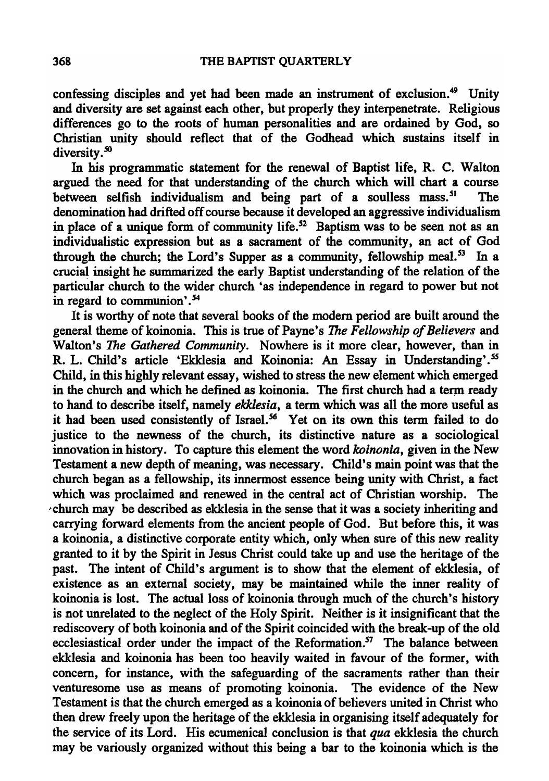confessing disciples and yet had been made an instrument of exclusion.<sup>49</sup> Unity and diversity are set against each other, but properly they interpenetrate. Religious differences go to the roots of human personalities and are ordained by God, so Christian unity should reflect that of the Godhead which sustains itself in diversity. *so* 

In his programmatic statement for the renewal of Baptist life, R. C. Walton argued the need for that understanding of the church which will chart a course between selfish individualism and being part of a soulless mass.<sup>51</sup> The denomination had drifted off course because it developed an aggressive individualism in place of a unique form of community life.<sup>52</sup> Baptism was to be seen not as an individualistic expression but as a sacrament of the community, an act of God through the church; the Lord's Supper as a community, fellowship meal.<sup>53</sup> In a crucial insight he summarized the early Baptist understanding of the relation of the particular church to the wider church 'as independence in regard to power but not in regard to communion'. 54

It is worthy of note that several books of the modem period are built around the general theme of koinonia. This is true of Payne's The Fellowship of Believers and Walton's The *Gathered Community.* Nowhere is it more clear, however, than in R. L. Child's article 'Ekklesia and Koinonia: An Essay in Understanding'. *ss*  Child, in this highly relevant essay, wished to stress the new element which emerged in the church and which he defined as koinonia. The first church had a term ready to hand to describe itself, namely *ekklesia,* a term which was all the more useful as it had been used consistently of Israel.<sup>56</sup> Yet on its own this term failed to do justice to the newness of the church, its distinctive nature as a sociological innovation in history. To capture this element the word *koinonia,* given in the New Testament a new depth of meaning, was necessary. Child's main point was that the church began as a fellowship, its innermost essence being unity with Christ, a fact which was proclaimed and renewed in the central act of Christian worship. The 'church may be described as ekklesia in the sense that it was a society inheriting and carrying forward elements from the ancient people of God. But before this, it was a koinonia, a distinctive corporate entity which, only when sure of this new reality granted to it by the Spirit in Jesus Christ could take up and use the heritage of the past. The intent of Child's argument is to show that the element of ekklesia, of existence as an external society, may be maintained while the inner reality of koinonia is lost. The actual loss of koinonia through much of the church's history is not unrelated to the neglect of the Holy Spirit. Neither is it insignificant that the rediscovery of both koinonia and of the Spirit coincided with the break-up of the old ecclesiastical order under the impact of the Reformation.<sup>57</sup> The balance between ekklesia and koinonia has been too heavily waited in favour of the former, with concern, for instance, with the safeguarding of the sacraments rather than their venturesome use as means of promoting koinonia. The evidence of the New Testament is that the church emerged as a koinonia of believers united in Christ who then drew freely upon the heritage of the ekklesia in organising itself adequately for the service of its Lord. His ecumenical conclusion is that *qua* ekklesia the church may be variously organized without this being a bar to the koinonia which is the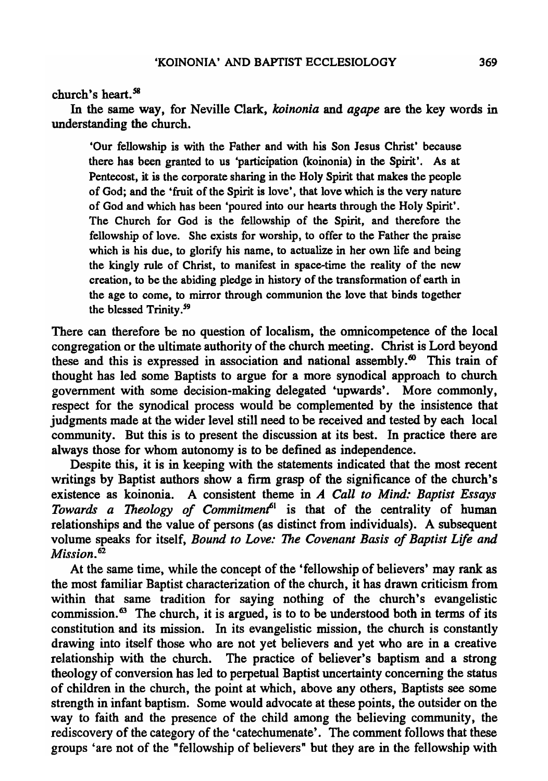church's heart.<sup>58</sup>

In the same way, for Neville Clark, *lwinonia* and *agape* are the key words in understanding the church.

'Our fellowship is with the Father and with his Son Jesus Christ' because there has been granted to us 'participation (koinonia) in the Spirit'. As at Pentecost, it is the corporate sharing in the Holy Spirit that makes the people of God; and the 'fruit of the Spirit is love', that love which is the very nature of God and which has been 'poured into our hearts through the Holy Spirit' . The Church for God is the fellowship of the Spirit, and therefore the fellowship of love. She exists for worship, to offer to the Father the praise which is his due, to glorify his name, to actualize in her own life and being the kingly rule of Christ, to manifest in space-time the reality of the new creation, to be the abiding pledge in history of the transformation of earth in the age to come, to mirror through communion the love that binds together the blessed Trinity.<sup>59</sup>

There can therefore be no question of localism, the omnicompetence of the local congregation or the ultimate authority of the church meeting. Christ is Lord beyond these and this is expressed in association and national assembly.<sup>60</sup> This train of thought has led some Baptists to argue for a more synodical approach to church government with some decision-making delegated 'upwards'. More commonly, respect for the synodical process would be complemented by the insistence that judgments made at the wider level still need to be received and tested by each local community. But this is to present the discussion at its best. In practice there are always those for whom autonomy is to be defined as independence.

Despite this, it is in keeping with the statements indicated that the most recent writings by Baptist authors show a firm grasp of the significance of the church's existence as koinonia. A consistent theme in *A Call· to Mind: Baptist Essays*  Towards a Theology of Commitment<sup>61</sup> is that of the centrality of human relationships and the value of persons (as distinct from individuals). A subsequent volume speaks for itself, *Bound to Love:* The *Covenant Basis of Baptist Life and Mission.* <sup>62</sup>

At the same time, while the concept of the 'fellowship of believers' may rank as the most familiar Baptist characterization of the church, it has drawn criticism from within that same tradition for saying nothing of the church's evangelistic commission.<sup>63</sup> The church, it is argued, is to to be understood both in terms of its constitution and its mission. In its evangelistic mission, the church is constantly drawing into itself those who are not yet believers and yet who are in a creative relationship with the church. The practice of believer's baptism and a strong theology of conversion has led to perpetual Baptist uncertainty concerning the status of children in the church, the point at which, above any others, Baptists see some strength in infant baptism. Some would advocate at these points, the outsider on the way to faith and the presence of the child among the believing community, the rediscovery of the category of the 'catechumenate'. The comment follows that these groups 'are not of the "fellowship of believers" but they are in the fellowship with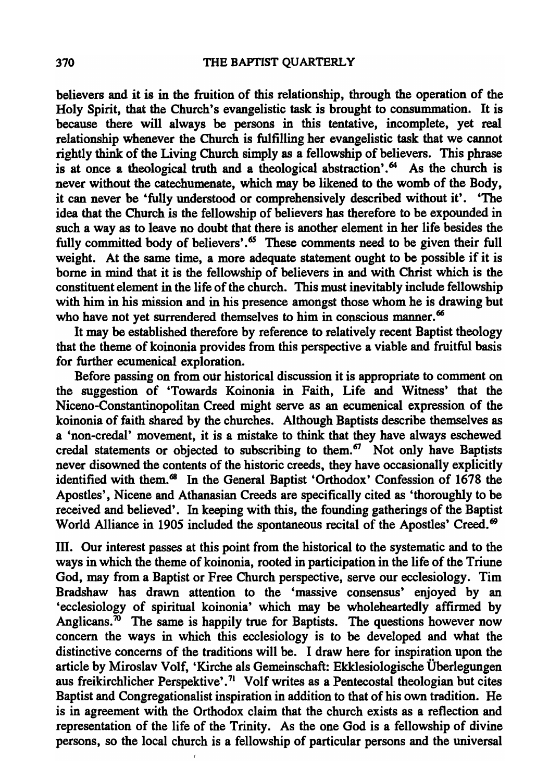believers and it is in the fruition of this relationship, through the operation of the Holy Spirit, that the Church's evangelistic task is brought to consummation. It is because there will always be persons in this tentative, incomplete, yet real relationship whenever the Church is fulfilling her evangelistic task that we cannot rightly think of the Living Church simply as a fellowship of believers. This phrase is at once a theological truth and a theological abstraction'.  $\alpha$  As the church is never without the catechumenate, which may be likened to the womb of the Body, it can never be 'fully understood or comprehensively described without it'. 'The idea that the Church is the fellowship of believers has therefore to be expounded in such a way as to leave no doubt that there is another element in her life besides the fully committed body of believers'.<sup>65</sup> These comments need to be given their full weight. At the same time, a more adequate statement ought to be possible if it is borne in mind that it is the fellowship of believers in and with Christ which is the constituent element in the life of the church. This must inevitably include fellowship with him in his mission and in his presence amongst those whom he is drawing but who have not yet surrendered themselves to him in conscious manner.<sup>66</sup>

It may be established therefore by reference to relatively recent Baptist theology that the theme of koinonia provides from this perspective a viable and fruitful basis for further ecumenical exploration.

Before passing on from OUr historical discussion it is appropriate to comment on the suggestion of 'Towards Koinonia in Faith, Life and Witness' that the Niceno-Constantinopolitan Creed might serve as an ecumenical expression of the koinonia of faith shared by the churches. Although Baptists describe themselves as a 'non-credal' movement, it is a mistake to think that they have always eschewed credal statements or objected to subscribing to them.<sup>67</sup> Not only have Baptists never disowned the contents of the historic creeds, they have occasionally explicitly identified with them.68 In the General Baptist 'Orthodox' Confession of 1678 the Apostles', Nicene and Athanasian Creeds are specifically cited as 'thoroughly to be received and believed'. In keeping with this, the founding gatherings of the Baptist World Alliance in 1905 included the spontaneous recital of the Apostles' Creed.<sup>69</sup>

Ill. Our interest passes at this point from the historical to the systematic and to the ways in which the theme of koinonia, rooted in participation in the life of the Triune God, may from a Baptist or Free Church perspective, serve our ecclesiology. Tim Bradshaw has drawn attention to the 'massive consensus' enjoyed by an 'ecclesiology of spiritual koinonia' which may be wholeheartedly affirmed by Anglicans.<sup>70</sup> The same is happily true for Baptists. The questions however now concern the ways in which this ecclesiology is to be developed and what the distinctive concerns of the traditions will be. I draw here for inspiration upon the article by Miroslav Volf, 'Kirche als Gemeinschaft: Ekklesiologische Uberlegungen aus freikirchlicher Perspektive'.<sup>71</sup> Volf writes as a Pentecostal theologian but cites Baptist and Congregationalist inspiration in addition to that of his own tradition. He is in agreement with the Orthodox claim that the church exists as a reflection and representation of the life of the Trinity. As the one God is a fellowship of divine persons, so the local church is a fellowship of particular persons and the universal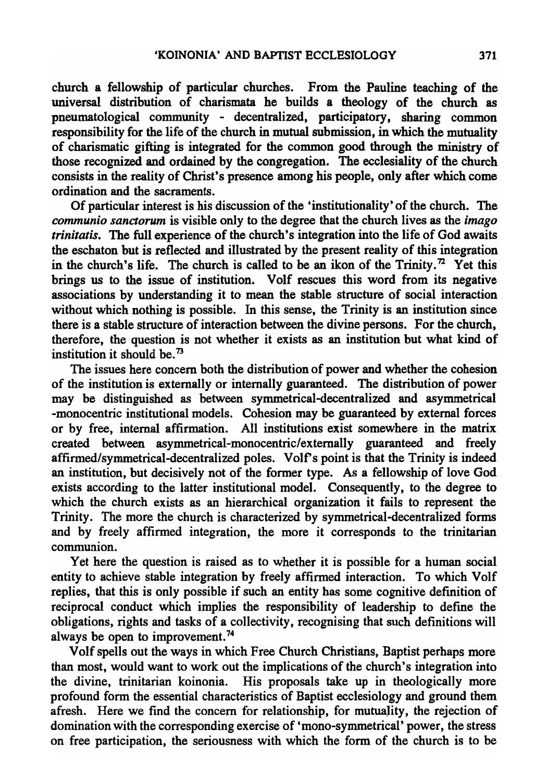church a fellowship of particular churches. From the Pauline teaching of the universal distribution of charismata he builds a theology of the church as pneumatological community - decentralized, participatory, sharing common responsibility for the life of the church in mutual submission, in which the mutuality of charismatic gifting is integrated for the common good through the ministry of those recognized and ordained by the congregation. The ecclesiality of the church consists in the reality of Christ's presence among his people, only after which come ordination and the sacraments.

Of particular interest is his discussion of the 'institutionality' of the church. The *communio sanctorum* is visible only to the degree that the church lives as the *imago trinitatis.* The full experience of the church's integration into the life of God awaits the eschaton but is reflected and illustrated by the present reality of this integration in the church's life. The church is called to be an ikon of the Trinity.<sup>72</sup> Yet this brings us to the issue of institution. Volf rescues this word from its negative associations by understanding it to mean the stable structure of social interaction without which nothing is possible. In this sense, the Trinity is an institution since there is a stable structure of interaction between the divine persons. For the church, therefore, the question is not whether it exists as an institution but what kind of institution it should be.  $\frac{73}{2}$ 

The issues here concern both the distribution of power and whether the cohesion of the institution is externally or internally guaranteed. The distribution of power may be distinguished as between symmetrical-decentralized and asymmetrical -monocentric institutional models. Cohesion may be guaranteed by external forces or by free, internal affirmation. All institutions exist somewhere in the matrix created between asymmetrical-monocentric/externally guaranteed and freely affirmed/symmetrical-decentralized poles. Volfs point is that the Trinity is indeed an institution, but decisively not of the former type. As a fellowship of love God exists according to the latter institutional model. Consequently, to the degree to which the church exists as an hierarchical organization it fails to represent the Trinity. The more the church is characterized by symmetrical-decentralized forms and by freely affirmed integration, the more it corresponds to the trinitarian communion.

Yet here the question is raised as to whether it is possible for a human social entity to achieve stable integration by freely affirmed interaction. To which Volf replies, that this is only possible if such an entity has some cognitive defmition of reciprocal conduct which implies the responsibility of leadership to defme the obligations, rights and tasks of a collectivity, recognising that such definitions will always be open to improvement. 74

Volf spells out the ways in which Free Church Christians, Baptist perhaps more than most, would want to work out the implications of the church's integration into the divine, trinitarian koinonia. His proposals take up in theologically more profound form the essential characteristics of Baptist ecclesiology and ground them afresh. Here we find the concern for relationship, for mutuality, the rejection of domination with the corresponding exercise of 'mono-symmetrical' power, the stress on free participation, the seriousness with which the form of the church is to be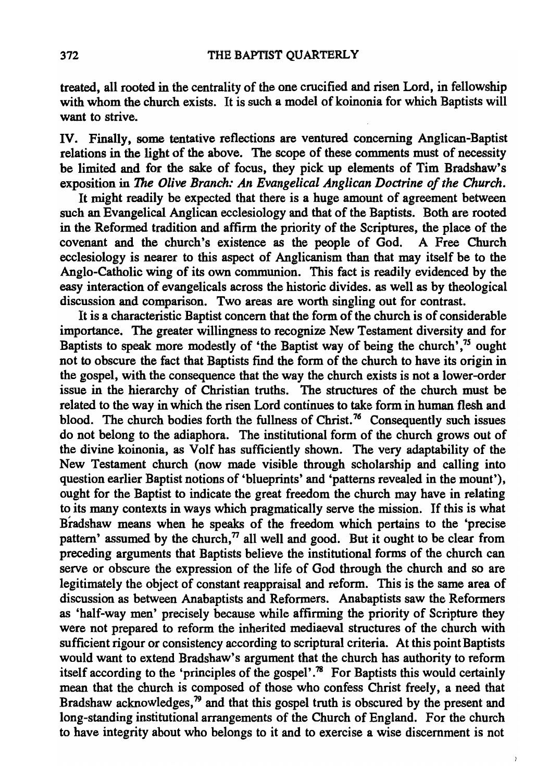treated, all rooted in the centrality of the one crucified and risen Lord, in fellowship with whom the church exists. It is such a model of koinonia for which Baptists will want to strive.

IV. Finally, some tentative reflections are ventured concerning Anglican-Baptist relations in the light of the above. The scope of these comments must of necessity be limited and for the sake of focus, they pick up elements of Tim Bradshaw's exposition in The *Olive Branch: An Evangelical Anglican Doctrine of the Church.* 

It might readily be expected that there is a huge amount of agreement between such an Evangelical Anglican ecclesiology and that of the Baptists. Both are rooted in the Reformed tradition and affirm the priority of the Scriptures, the place of the covenant and the church's existence as the people of God. A Free Church ecclesiology is nearer to this aspect of Anglicanism than that may itself be to the Anglo-Catholic wing of its own communion. This fact is readily evidenced by the easy interaction of evangelicals across the historic divides. as well as by theological discussion and comparison. Two areas are worth singling out for contrast.

It is a characteristic Baptist concern that the form of the church is of considerable importance. The greater willingness to recognize New Testament diversity and for Baptists to speak more modestly of 'the Baptist way of being the church' *,7S* ought not to obscure the fact that Baptists find the form of the church to have its origin in the gospel, with the consequence that the way the church exists is not a lower-order issue in the hierarchy of Christian truths. The structures of the church must be related to the way in which the risen Lord continues to take form in human flesh and blood. The church bodies forth the fullness of Christ.<sup>76</sup> Consequently such issues do not belong to the adiaphora. The institutional form of the church grows out of the divine koinonia, as Volf has sufficiently shown. The very adaptability of the New Testament church (now made visible through scholarship and calling into question earlier Baptist notions of 'blueprints' and 'patterns revealed in the mount'), ought for the Baptist to indicate the great freedom the church may have in relating to its many contexts in ways which pragmatically serve the mission. If this is what Bradshaw means when he speaks of the freedom which pertains to the 'precise pattern' assumed by the church,<sup>77</sup> all well and good. But it ought to be clear from preceding arguments that Baptists believe the institutional forms of the church can serve or obscure the expression of the life of God through the church and so are legitimately the object of constant reappraisal and reform. This is the same area of discussion as between Anabaptists and Reformers. Anabaptists saw the Reformers as 'half-way men' precisely because while affirming the priority of Scripture they were not prepared to reform the inherited mediaeval structures of the church with sufficient rigour or consistency according to scriptural criteria. At this point Baptists would want to extend Bradshaw's argument that the church has authority to reform itself according to the 'principles of the gospel'.<sup>78</sup> For Baptists this would certainly mean that the church is composed of those who confess Christ freely, a need that Bradshaw acknowledges,<sup>79</sup> and that this gospel truth is obscured by the present and long-standing institutional arrangements of the Church of England. For the church to have integrity about who belongs to it and to exercise a wise discernment is not

 $\overline{ }$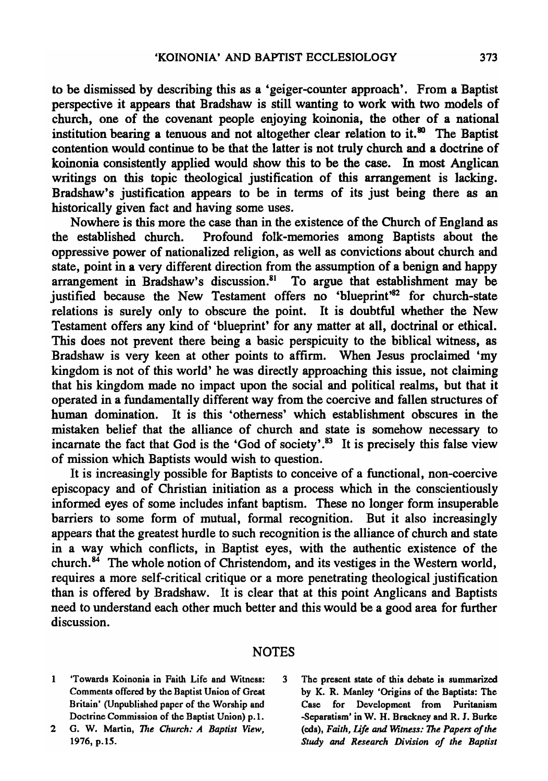to be dismissed by describing this as a 'geiger-counter approach'. From a Baptist perspective it appears that Bradshaw is still wanting to work with two models of church, one of the covenant people enjoying koinonia, the other of a national institution bearing a tenuous and not altogether clear relation to it.<sup>80</sup> The Baptist contention would continue to be that the latter is not truly church and a doctrine of koinonia consistently applied would show this to be the case. In most Anglican writings on this topic theological justification of this arrangement is lacking. Bradshaw's justification appears to be in terms of its just being there as an historically given fact and having some uses.

Nowhere is this more the case than in the existence of the Church of England as the established church. Profound folk-memories among Baptists about the oppressive power of nationalized religion, as well as convictions about church and state, point in a very different direction from the assumption of a benign and happy arrangement in Bradshaw's discussion.<sup>81</sup> To argue that establishment may be justified because the New Testament offers no 'blueprint'<sup>82</sup> for church-state relations is surely only to obscure the point. It is doubtful whether the New Testament offers any kind of 'blueprint' for any matter at all, doctrinal or ethical. This does not prevent there being a basic perspicuity to the biblical witness, as Bradshaw is very keen at other points to affirm. When Jesus proclaimed 'my kingdom is not of this world' he was directly approaching this issue, not claiming that his kingdom made no impact upon the social and political realms, but that it operated in a fundamentally different way from the coercive and fallen structures of human domination. It is this 'otherness' which establishment obscures in the mistaken belief that the alliance of church and state is somehow necessary to incarnate the fact that God is the 'God of society'.<sup>83</sup> It is precisely this false view of mission which Baptists would wish to question.

It is increasingly possible for Baptists to conceive of a functional, non-coercive episcopacy and of Christian initiation as a process which in the conscientiously informed eyes of some includes infant baptism. These no longer form insuperable barriers to some form of mutual, formal recognition. But it also increasingly appears that the greatest hurdle to such recognition is the alliance of church and state in a way which conflicts, in Baptist eyes, with the authentic existence of the church.<sup>84</sup> The whole notion of Christendom, and its vestiges in the Western world, requires a more self-critical critique or a more penetrating theological justification than is offered by Bradshaw. It is clear that at this point Anglicans and Baptists need to understand each other much better and this would be a good area for further discussion.

## **NOTES**

- $\mathbf{1}$ 'Towards Koinonia in Faith Life and Witness: Comments offered by the Baptist Union of Great Britain' (Unpublished paper of the Worship and Doctrine Commission of the Baptist Union) p.l.
- 2 G. W. Martin, *The Church: A Baptist View,*  1976, p.lS.
- 3 The present state of this debate is summarized by K. R. Manley 'Origins of the Baptists: The Case for Development from Puritanism -Separatism' in W. H. Brackney and R. J. Burke (eds), *Faith, life* and *Witness: The Papers of the Study* and *Research Division of the Baptist*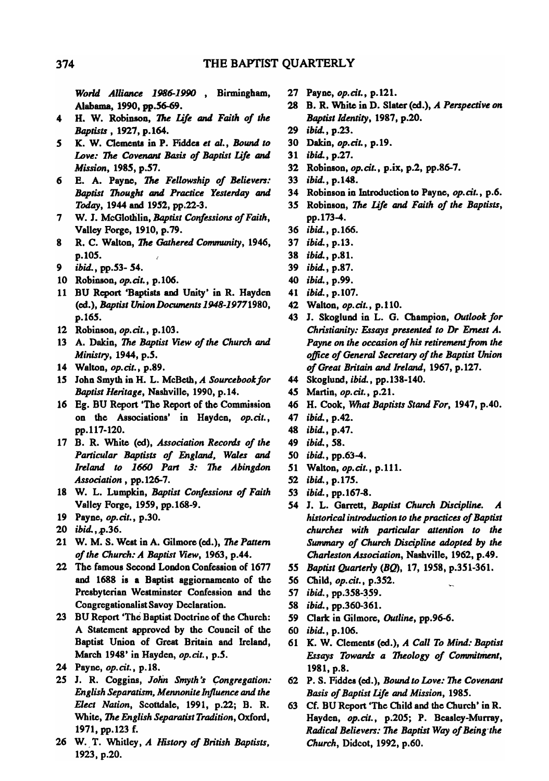*World AlliQIICe 1986-1990* , Birmingham, AlBbama, 1990, pp.56-69.

- 4 H. W. Robinson, The Life and Faith of the *Baptists,* 1927, p.l64.
- 5 K. W. Cements in P. Fiddea *et* al., *Bound to*  Love: The Covenant Basis of Baptist Life and *Mission*, 1985, p.57.
- 6 E. A. Payne, The *Fellowship of Believers:*  Baptist Thought and Practice Yesterday and *Today*, 1944 and 1952, pp.22-3.
- 7 W. *i.* McGlothlin; *Baptist Corifessions of Faith,*  Valley Forge, 1910, p.79.
- 8 R. C. Walton, *The Gathered Community*, 1946, p.l05.
- 9 *ibid.,* pp.53- 54.
- 10 Robinson, *op.cit.,* p.l06.
- 11 BU Report 'Baptists and Unity' in R. Hayden (cd.), *Baptist UnionDocUmenis 1948-19771980,*  p.165.
- 12 Robin80n, *op.cit.,* p.l03.
- 13 A. Dakin, *The Baptist View of the Church and Ministry,* 1944, p.5.
- 14 Walton, *op.cit.,* p.89~
- 15 John Smyth in H. L. McBeth, *A Sourcebook for Baptist Heritage*, Nashville, 1990, p.14.
- 16 Eg. BU Report 'The Report of the Commission on the Associations' in Hayden, *op.cit.,*  pp;lI7-120.
- 17 B. R. White (cd), *Association Records of the*  Particular Baptists of England, Wales and *Ireland to 1660 Part 3: The Abingdon* Association, pp. 126-7.
- 18 W. L. Lumpkin, *Baptist Confessions of Faith* Valley Forge, 1959, pp.I68-9.
- 19 Payne, *op.cit.,* p.30;
- 20 *ibid.*, p.36.
- 21 W. M. S. West in A. Gilmore (ed.), *The Pattern of the Church: A Baptist View;* 1963, p.44.
- 22 The famous Second London Confession of 1677 and 1688 is a Baptist aggiornamento of the Presbyterian Westminster Confession and the Congregationalist Savoy Declaration.
- 23 BU Report 'The Baptist Doctrine of the Church: A Statement approvcd by the Council of the Baptist Union of Great Britsin and Ireland, March 1948' in Hayden, op.cit., p.5.
- 24 Pay ne, *op.cit.,* p.18.
- 25 J. R. Coggina, *JOM Smytli's Congregation: English Separatism,* Mennoriit~ *lrifliience* mid *the Elect Nation*, Scottdale, 1991, p.22; B. R. White, *The English Separatist Tradition*, Oxford, 1971, pp.123 f.
- 26 W.T. Whitley, *A Jljstory of British Baptists,*  1923, p.20.
- 27 Payne, *op.cit.,* p.121.
- 28 B. R. White in D. Slater (cd.), *A Perspective on Baptistldentity,* 1987, p.20.
- 29 *ibid.,* p.23.
- 30 Dakin, *op.cit.,* p.19.
- 31 *ibid.;* p.27.
- 32 Robinson, op.cit., p.ix, p.2, pp.86-7.
- 33 *ibid.,* p.I48.
- 34 Robinson in Introduction to Pay ne, *op.cit.,* p.6.
- 35 Robinson, *The Life and Faith of the Baptists*, pp. 173-4.
- 36 *ibid.,* p.166.
- 37 *ibid.,* p.13.
- 38 *ibid.,* p.81.
- 39 *ibid.,* p.87.
- 40 *ibid.,* p.99.
- 41 *ibid.,* p.l07.
- 42 Walton, *op.cit.,* p.lIO.
- 43 J. Skoglund in L. G. Champion, Outlook for *Christianity: Essays presented to Dr Ernest A; Payne on the occasion of his retirement from the ojJice of General Secretary of the Baptist Union*  of Great Britain and Ireland, 1967, p.127.
- 44 Skoglund, ibid., pp.138-140.
- *45 Mlirtin,op.cit.,* p.21.
- 46 H. Cook, What Baptists Stand For, 1947, p.40.
- 47 ibid., p.42.
- *48 ibid.,* p.47.
- 49 *ibid.,58.*
- 50 *ibid.,* pp.634.
- 51 Walton, *op.cit.,* p.ill.
- 52 *ibid.,* p.175.
- 53 ibid., pp.167-8.
- 54 J. L. Garrett, *Baptist Church Discipline. A historical'introduction to the praCtices of Baptist churches* with particular attention to the Summary of Church Discipline adopted by the *Charleston Association, Nashville, 1962, p.49.*
- *S5 Baptist QUarterly (BO),* 17, 1958, p.351-361.
- 56 Child, *op.cit.,* p.352. "
- 57 *ibid.,* pp.358-359.
- 58 *ibid.*, pp.360-361.
- 59 Carte in Gilmore, *OUtline,* pp.96-6.
- 60 ibid.,p.l06.
- 61 K. W. Clements (cd.); *A Call To Mind: Baptist*  Essays Towards a Theology of Commitment, 1981, p.8.
- 62 P. S. Fiddea (cd.), *Bound to Love: 7heCovenant*  Basis of Baptist Life and Mission, 1985.
- 63 Cf. BU Report 'The Child and the Church' in R. Hayden, op.cit., p.205; P. Beasley-Murray, *Radical Believers: The Baptist Way of Being the Church,* Didcot, 1992, p.60.